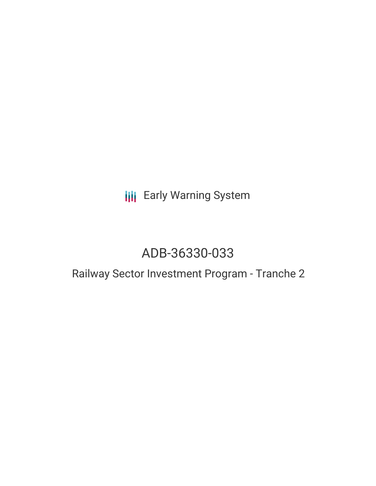**III** Early Warning System

# ADB-36330-033

## Railway Sector Investment Program - Tranche 2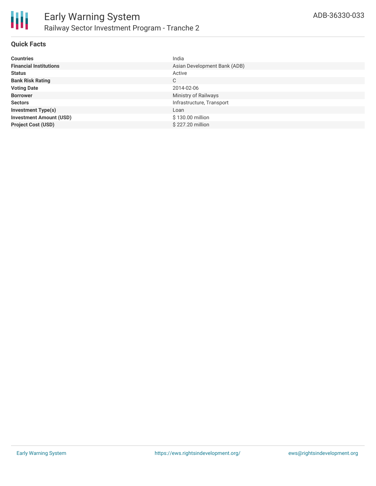

#### **Quick Facts**

| <b>Countries</b>               | India                        |
|--------------------------------|------------------------------|
| <b>Financial Institutions</b>  | Asian Development Bank (ADB) |
| <b>Status</b>                  | Active                       |
| <b>Bank Risk Rating</b>        | C                            |
| <b>Voting Date</b>             | 2014-02-06                   |
| <b>Borrower</b>                | Ministry of Railways         |
| <b>Sectors</b>                 | Infrastructure, Transport    |
| <b>Investment Type(s)</b>      | Loan                         |
| <b>Investment Amount (USD)</b> | \$130.00 million             |
| <b>Project Cost (USD)</b>      | \$227.20 million             |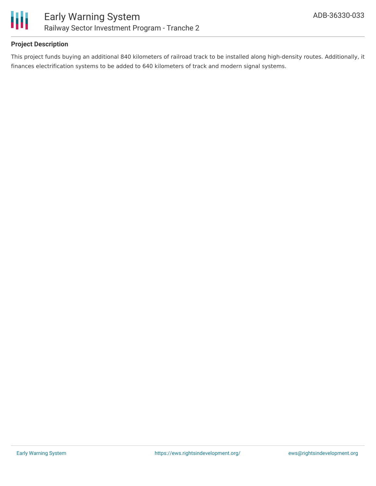

#### **Project Description**

This project funds buying an additional 840 kilometers of railroad track to be installed along high-density routes. Additionally, it finances electrification systems to be added to 640 kilometers of track and modern signal systems.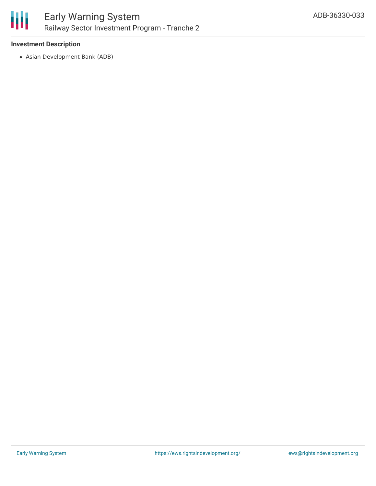

## Early Warning System Railway Sector Investment Program - Tranche 2

#### **Investment Description**

Asian Development Bank (ADB)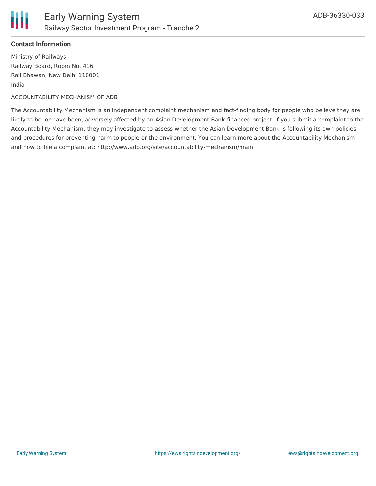

#### **Contact Information**

Ministry of Railways Railway Board, Room No. 416 Rail Bhawan, New Delhi 110001 India

ACCOUNTABILITY MECHANISM OF ADB

The Accountability Mechanism is an independent complaint mechanism and fact-finding body for people who believe they are likely to be, or have been, adversely affected by an Asian Development Bank-financed project. If you submit a complaint to the Accountability Mechanism, they may investigate to assess whether the Asian Development Bank is following its own policies and procedures for preventing harm to people or the environment. You can learn more about the Accountability Mechanism and how to file a complaint at: http://www.adb.org/site/accountability-mechanism/main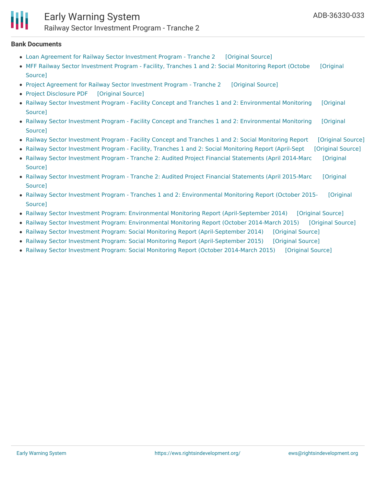#### **Bank Documents**

- Loan Agreement for Railway Sector [Investment](https://ewsdata.rightsindevelopment.org/files/documents/33/ADB-36330-033_O1Gq50l.pdf) Program Tranche 2 [\[Original](https://www.adb.org/projects/documents/loan-agreement-railway-sector-investment-program-tranche-2) Source]
- MFF Railway Sector [Investment](https://www.adb.org/projects/documents/ind-rsip-mff-t1-t2-oct-2015-mar-2016-smr) Program Facility, Tranches 1 and 2: Social Monitoring Report (Octobe [Original Source]
- Project Agreement for Railway Sector [Investment](https://ewsdata.rightsindevelopment.org/files/documents/33/ADB-36330-033_XzLbmoV.pdf) Program Tranche 2 [\[Original](https://www.adb.org/projects/documents/project-agreement-railway-sector-investment-program-tranche-2) Source]
- Project [Disclosure](https://ewsdata.rightsindevelopment.org/files/documents/33/ADB-36330-033.pdf) PDF [\[Original](https://www.adb.org/printpdf/projects/36330-033/main) Source]
- Railway Sector Investment Program Facility Concept and Tranches 1 and 2: [Environmental](https://www.adb.org/projects/documents/ind-36330-023-emr) Monitoring [Original Source]
- Railway Sector Investment Program Facility Concept and Tranches 1 and 2: [Environmental](https://www.adb.org/projects/documents/ind-36330-023-033-013-emr) Monitoring [Original Source]
- Railway Sector [Investment](https://ewsdata.rightsindevelopment.org/files/documents/33/ADB-36330-033_cdlrqeG.pdf) Program Facility Concept and Tranches 1 and 2: Social Monitoring Report [\[Original](https://www.adb.org/projects/documents/ind-36330-023-smr) Source]
- Railway Sector [Investment](https://ewsdata.rightsindevelopment.org/files/documents/33/ADB-36330-033_NsM7IXT.pdf) Program Facility, Tranches 1 and 2: Social Monitoring Report (April-Sept [\[Original](https://www.adb.org/projects/documents/ind-rsip-mff-t1-t2-apr-sep-2016-smr) Source]
- Railway Sector Investment Program Tranche 2: Audited Project Financial [Statements](https://www.adb.org/projects/documents/ind-railway-sector-investment-program-t2-apr-2014-mar-2015-apfs) (April 2014-Marc [Original Source]
- Railway Sector Investment Program Tranche 2: Audited Project Financial [Statements](https://www.adb.org/projects/documents/ind-rsip-t2-apr-2015-mar-2016-apfs) (April 2015-Marc [Original Source]
- Railway Sector Investment Program Tranches 1 and 2: [Environmental](https://www.adb.org/projects/documents/ind-rsip-t1-t2-oct-2015-mar-2016-emr) Monitoring Report (October 2015- [Original Source]
- Railway Sector Investment Program: Environmental Monitoring Report [\(April-September](https://ewsdata.rightsindevelopment.org/files/documents/33/ADB-36330-033_Vjby3cf.pdf) 2014) [\[Original](https://www.adb.org/projects/documents/ind-railway-sector-investment-program-apr-sep-2014-emr) Source]
- Railway Sector Investment Program: [Environmental](https://ewsdata.rightsindevelopment.org/files/documents/33/ADB-36330-033_ftImVDF.pdf) Monitoring Report (October 2014-March 2015) [\[Original](https://www.adb.org/projects/documents/ind-railway-sector-investment-program-oct-2014-mar-2015-emr) Source]
- Railway Sector Investment Program: Social Monitoring Report [\(April-September](https://ewsdata.rightsindevelopment.org/files/documents/33/ADB-36330-033_KJd1YeA.pdf) 2014) [\[Original](https://www.adb.org/projects/documents/ind-railway-sector-investment-program-apr-sep-2014-smr) Source]
- Railway Sector Investment Program: Social Monitoring Report [\(April-September](https://ewsdata.rightsindevelopment.org/files/documents/33/ADB-36330-033_eobteZX.pdf) 2015) [\[Original](https://www.adb.org/projects/documents/ind-railway-sector-investment-program-mff-t1-t2-apr-sep-2015-smr) Source]
- Railway Sector Investment Program: Social Monitoring Report (October [2014-March](https://ewsdata.rightsindevelopment.org/files/documents/33/ADB-36330-033_tzH1J73.pdf) 2015) [\[Original](https://www.adb.org/projects/documents/ind-railway-sector-investment-program-oct-2014-mar-2015-smr) Source]